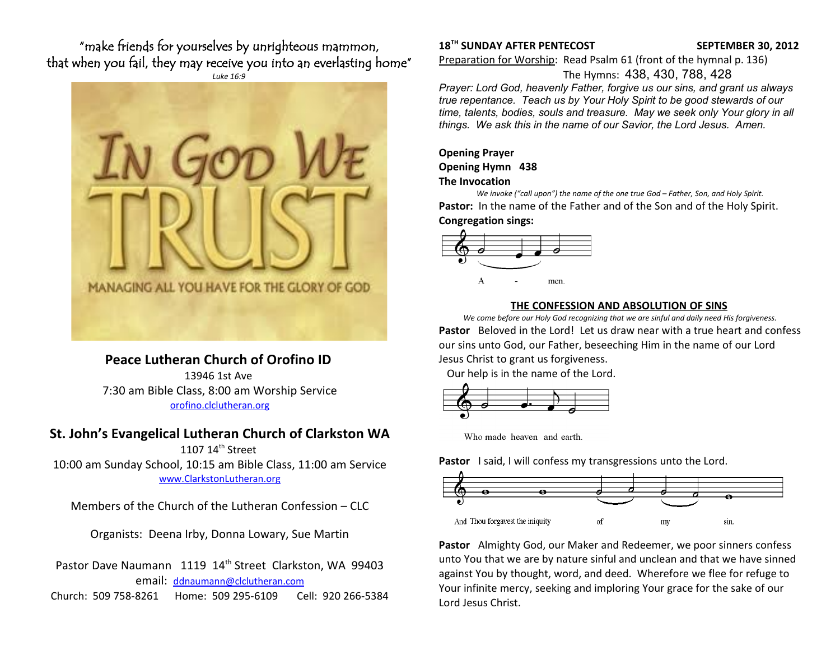"make friends for yourselves by unrighteous mammon, that when you fail, they may receive you into an everlasting home"



# **Peace Lutheran Church of Orofino ID**

13946 1st Ave 7:30 am Bible Class, 8:00 am Worship Service [orofino.clclutheran.org](http://www.orofinolutheran.org/)

## **St. John's Evangelical Lutheran Church of Clarkston WA**

1107 14<sup>th</sup> Street 10:00 am Sunday School, 10:15 am Bible Class, 11:00 am Service [www.ClarkstonLutheran.org](http://www.ClarkstonLutheran.org/)

Members of the Church of the Lutheran Confession – CLC

Organists: Deena Irby, Donna Lowary, Sue Martin

Pastor Dave Naumann 1119 14<sup>th</sup> Street Clarkston, WA 99403 email: [ddnaumann@clclutheran.com](mailto:ddnaumann@clclutheran.com) Church: 509 758-8261 Home: 509 295-6109 Cell: 920 266-5384

## **18TH SUNDAY AFTER PENTECOST SEPTEMBER 30, 2012**

Preparation for Worship: Read Psalm 61 (front of the hymnal p. 136)

The Hymns: 438, 430, 788, 428

*Prayer: Lord God, heavenly Father, forgive us our sins, and grant us always true repentance. Teach us by Your Holy Spirit to be good stewards of our time, talents, bodies, souls and treasure. May we seek only Your glory in all things. We ask this in the name of our Savior, the Lord Jesus. Amen.* 

## **Opening Prayer Opening Hymn 438 The Invocation**

*We invoke ("call upon") the name of the one true God – Father, Son, and Holy Spirit.* **Pastor:** In the name of the Father and of the Son and of the Holy Spirit. **Congregation sings:**



## **THE CONFESSION AND ABSOLUTION OF SINS**

*We come before our Holy God recognizing that we are sinful and daily need His forgiveness.* **Pastor** Beloved in the Lord! Let us draw near with a true heart and confess our sins unto God, our Father, beseeching Him in the name of our Lord Jesus Christ to grant us forgiveness.

Our help is in the name of the Lord.



Who made heaven and earth.

**Pastor** I said, I will confess my transgressions unto the Lord.



**Pastor** Almighty God, our Maker and Redeemer, we poor sinners confess unto You that we are by nature sinful and unclean and that we have sinned against You by thought, word, and deed. Wherefore we flee for refuge to Your infinite mercy, seeking and imploring Your grace for the sake of our Lord Jesus Christ.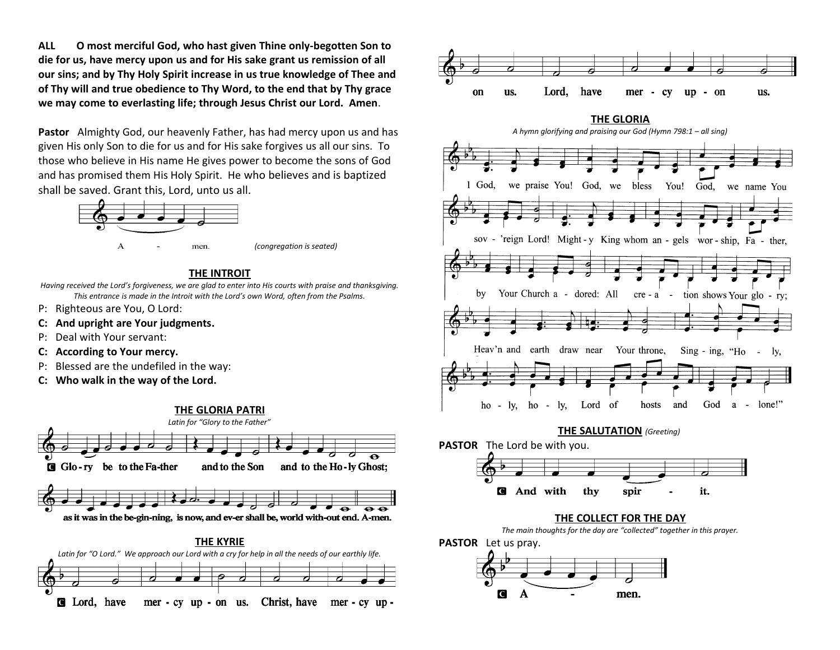**ALL O most merciful God, who hast given Thine only-begotten Son to die for us, have mercy upon us and for His sake grant us remission of all our sins; and by Thy Holy Spirit increase in us true knowledge of Thee and of Thy will and true obedience to Thy Word, to the end that by Thy grace we may come to everlasting life; through Jesus Christ our Lord. Amen**.

**Pastor** Almighty God, our heavenly Father, has had mercy upon us and has given His only Son to die for us and for His sake forgives us all our sins. To those who believe in His name He gives power to become the sons of God and has promised them His Holy Spirit. He who believes and is baptized shall be saved. Grant this, Lord, unto us all.



# **THE INTROIT**

*Having received the Lord's forgiveness, we are glad to enter into His courts with praise and thanksgiving. This entrance is made in the Introit with the Lord's own Word, often from the Psalms.*

- P: Righteous are You, O Lord:
- **C: And upright are Your judgments.**
- P: Deal with Your servant:
- **C: According to Your mercy.**
- P: Blessed are the undefiled in the way:
- **C: Who walk in the way of the Lord.**



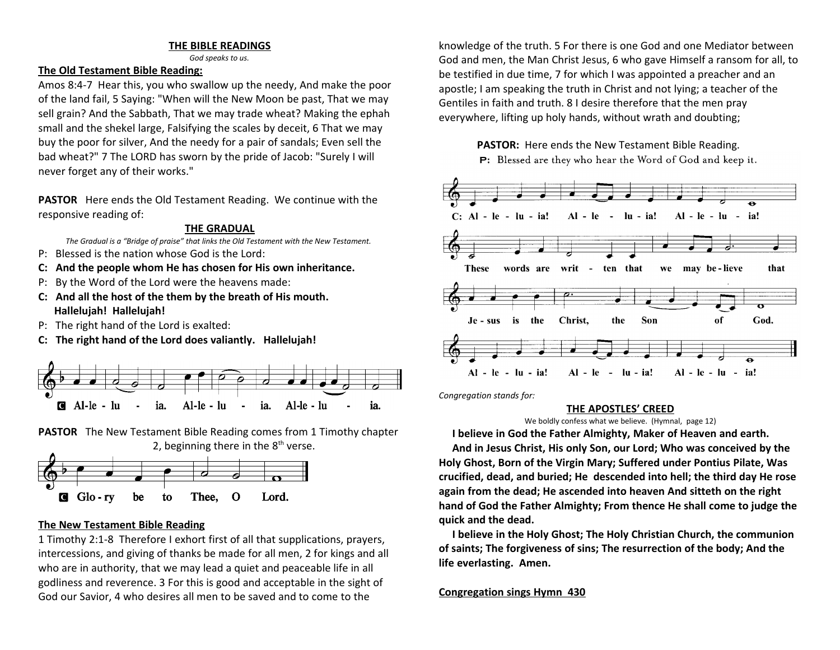## **THE BIBLE READINGS**

*God speaks to us.*

## **The Old Testament Bible Reading:**

Amos 8:4-7 Hear this, you who swallow up the needy, And make the poor of the land fail, 5 Saying: "When will the New Moon be past, That we may sell grain? And the Sabbath, That we may trade wheat? Making the ephah small and the shekel large, Falsifying the scales by deceit, 6 That we may buy the poor for silver, And the needy for a pair of sandals; Even sell the bad wheat?" 7 The LORD has sworn by the pride of Jacob: "Surely I will never forget any of their works."

**PASTOR** Here ends the Old Testament Reading. We continue with the responsive reading of:

#### **THE GRADUAL**

*The Gradual is a "Bridge of praise" that links the Old Testament with the New Testament.* 

- P: Blessed is the nation whose God is the Lord:
- **C: And the people whom He has chosen for His own inheritance.**
- P: By the Word of the Lord were the heavens made:
- **C: And all the host of the them by the breath of His mouth. Hallelujah! Hallelujah!**
- P: The right hand of the Lord is exalted:
- **C: The right hand of the Lord does valiantly. Hallelujah!**



**PASTOR** The New Testament Bible Reading comes from 1 Timothy chapter 2, beginning there in the  $8<sup>th</sup>$  verse.



## **The New Testament Bible Reading**

1 Timothy 2:1-8 Therefore I exhort first of all that supplications, prayers, intercessions, and giving of thanks be made for all men, 2 for kings and all who are in authority, that we may lead a quiet and peaceable life in all godliness and reverence. 3 For this is good and acceptable in the sight of God our Savior, 4 who desires all men to be saved and to come to the

knowledge of the truth. 5 For there is one God and one Mediator between God and men, the Man Christ Jesus, 6 who gave Himself a ransom for all, to be testified in due time, 7 for which I was appointed a preacher and an apostle; I am speaking the truth in Christ and not lying; a teacher of the Gentiles in faith and truth. 8 I desire therefore that the men pray everywhere, lifting up holy hands, without wrath and doubting;



P: Blessed are they who hear the Word of God and keep it.



*Congregation stands for:*

## **THE APOSTLES' CREED**

We boldly confess what we believe. (Hymnal, page 12)

 **I believe in God the Father Almighty, Maker of Heaven and earth.**

 **And in Jesus Christ, His only Son, our Lord; Who was conceived by the Holy Ghost, Born of the Virgin Mary; Suffered under Pontius Pilate, Was crucified, dead, and buried; He descended into hell; the third day He rose again from the dead; He ascended into heaven And sitteth on the right hand of God the Father Almighty; From thence He shall come to judge the quick and the dead.**

 **I believe in the Holy Ghost; The Holy Christian Church, the communion of saints; The forgiveness of sins; The resurrection of the body; And the life everlasting. Amen.**

## **Congregation sings Hymn 430**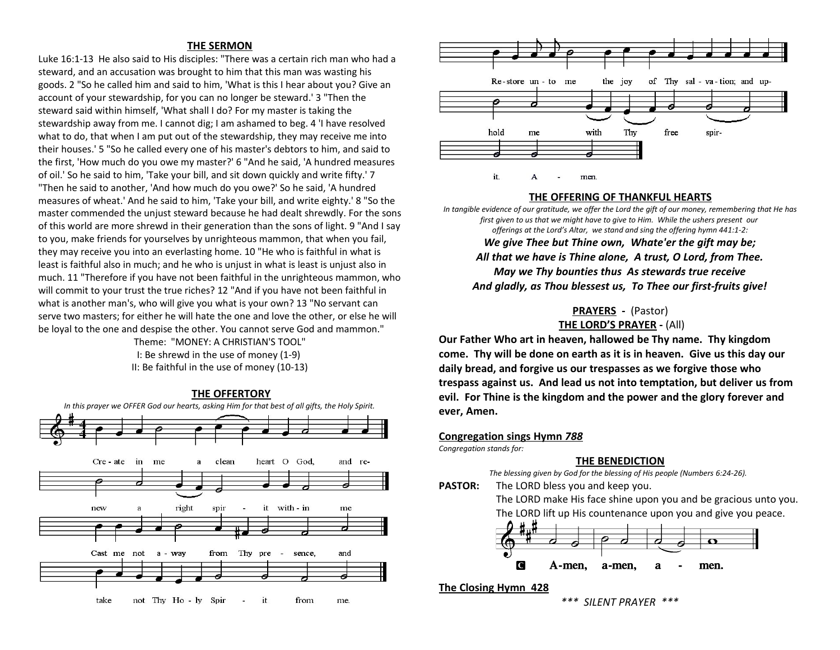#### **THE SERMON**

Luke 16:1-13 He also said to His disciples: "There was a certain rich man who had a steward, and an accusation was brought to him that this man was wasting his goods. 2 "So he called him and said to him, 'What is this I hear about you? Give an account of your stewardship, for you can no longer be steward.' 3 "Then the steward said within himself, 'What shall I do? For my master is taking the stewardship away from me. I cannot dig; I am ashamed to beg. 4 'I have resolved what to do, that when I am put out of the stewardship, they may receive me into their houses.' 5 "So he called every one of his master's debtors to him, and said to the first, 'How much do you owe my master?' 6 "And he said, 'A hundred measures of oil.' So he said to him, 'Take your bill, and sit down quickly and write fifty.' 7 "Then he said to another, 'And how much do you owe?' So he said, 'A hundred measures of wheat.' And he said to him, 'Take your bill, and write eighty.' 8 "So the master commended the unjust steward because he had dealt shrewdly. For the sons of this world are more shrewd in their generation than the sons of light. 9 "And I say to you, make friends for yourselves by unrighteous mammon, that when you fail, they may receive you into an everlasting home. 10 "He who is faithful in what is least is faithful also in much; and he who is unjust in what is least is unjust also in much. 11 "Therefore if you have not been faithful in the unrighteous mammon, who will commit to your trust the true riches? 12 "And if you have not been faithful in what is another man's, who will give you what is your own? 13 "No servant can serve two masters; for either he will hate the one and love the other, or else he will be loyal to the one and despise the other. You cannot serve God and mammon."

Theme: "MONEY: A CHRISTIAN'S TOOL" I: Be shrewd in the use of money (1-9) II: Be faithful in the use of money (10-13)





#### **THE OFFERING OF THANKFUL HEARTS**

*In tangible evidence of our gratitude, we offer the Lord the gift of our money, remembering that He has first given to us that we might have to give to Him. While the ushers present our offerings at the Lord's Altar, we stand and sing the offering hymn 441:1-2:*

*We give Thee but Thine own, Whate'er the gift may be; All that we have is Thine alone, A trust, O Lord, from Thee. May we Thy bounties thus As stewards true receive And gladly, as Thou blessest us, To Thee our first-fruits give!*

## **PRAYERS -** (Pastor)

**THE LORD'S PRAYER -** (All)

**Our Father Who art in heaven, hallowed be Thy name. Thy kingdom come. Thy will be done on earth as it is in heaven. Give us this day our daily bread, and forgive us our trespasses as we forgive those who trespass against us. And lead us not into temptation, but deliver us from evil. For Thine is the kingdom and the power and the glory forever and ever, Amen.** 

#### **Congregation sings Hymn** *788*

*Congregation stands for:*

#### **THE BENEDICTION**

*The blessing given by God for the blessing of His people (Numbers 6:24-26).* 

**PASTOR:** The LORD bless you and keep you. The LORD make His face shine upon you and be gracious unto you. The LORD lift up His countenance upon you and give you peace.



## **The Closing Hymn 428**

*\*\*\* SILENT PRAYER \*\*\**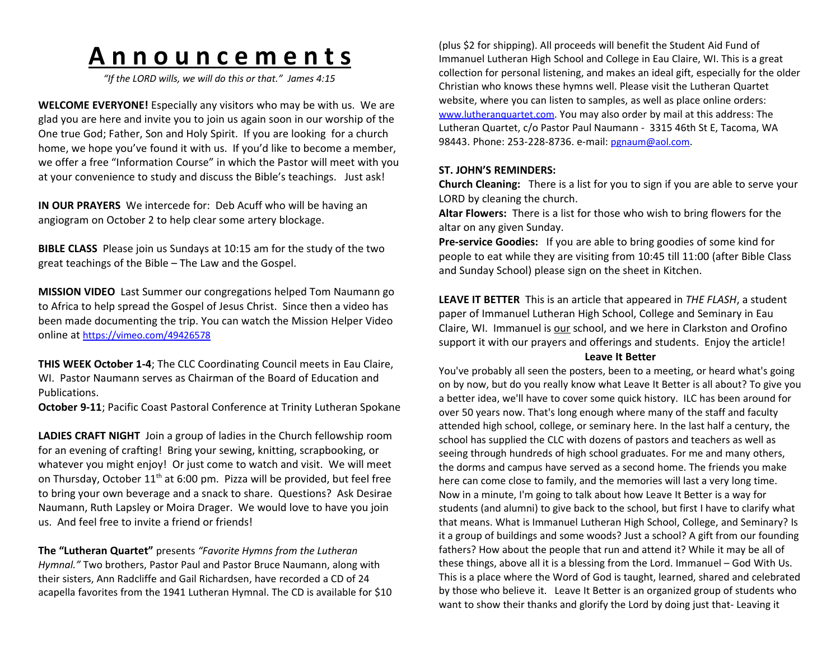# **A n n o u n c e m e n t s**

*"If the LORD wills, we will do this or that." James 4:15*

**WELCOME EVERYONE!** Especially any visitors who may be with us. We are glad you are here and invite you to join us again soon in our worship of the One true God; Father, Son and Holy Spirit. If you are looking for a church home, we hope you've found it with us. If you'd like to become a member, we offer a free "Information Course" in which the Pastor will meet with you at your convenience to study and discuss the Bible's teachings. Just ask!

**IN OUR PRAYERS** We intercede for: Deb Acuff who will be having an angiogram on October 2 to help clear some artery blockage.

**BIBLE CLASS** Please join us Sundays at 10:15 am for the study of the two great teachings of the Bible – The Law and the Gospel.

**MISSION VIDEO** Last Summer our congregations helped Tom Naumann go to Africa to help spread the Gospel of Jesus Christ. Since then a video has been made documenting the trip. You can watch the Mission Helper Video online at <https://vimeo.com/49426578>

**THIS WEEK October 1-4**; The CLC Coordinating Council meets in Eau Claire, WI. Pastor Naumann serves as Chairman of the Board of Education and Publications.

**October 9-11**; Pacific Coast Pastoral Conference at Trinity Lutheran Spokane

**LADIES CRAFT NIGHT** Join a group of ladies in the Church fellowship room for an evening of crafting! Bring your sewing, knitting, scrapbooking, or whatever you might enjoy! Or just come to watch and visit. We will meet on Thursday, October 11<sup>th</sup> at 6:00 pm. Pizza will be provided, but feel free to bring your own beverage and a snack to share. Questions? Ask Desirae Naumann, Ruth Lapsley or Moira Drager. We would love to have you join us. And feel free to invite a friend or friends!

**The "Lutheran Quartet"** presents *"Favorite Hymns from the Lutheran Hymnal."* Two brothers, Pastor Paul and Pastor Bruce Naumann, along with their sisters, Ann Radcliffe and Gail Richardsen, have recorded a CD of 24 acapella favorites from the 1941 Lutheran Hymnal. The CD is available for \$10

(plus \$2 for shipping). All proceeds will benefit the Student Aid Fund of Immanuel Lutheran High School and College in Eau Claire, WI. This is a great collection for personal listening, and makes an ideal gift, especially for the older Christian who knows these hymns well. Please visit the Lutheran Quartet website, where you can listen to samples, as well as place online orders: [www.lutheranquartet.com](http://www.lutheranquartet.com/). You may also order by mail at this address: The Lutheran Quartet, c/o Pastor Paul Naumann - 3315 46th St E, Tacoma, WA 98443. Phone: 253-228-8736. e-mail: [pgnaum@aol.com](mailto:pgnaum@aol.com).

## **ST. JOHN'S REMINDERS:**

**Church Cleaning:** There is a list for you to sign if you are able to serve your LORD by cleaning the church.

**Altar Flowers:** There is a list for those who wish to bring flowers for the altar on any given Sunday.

**Pre-service Goodies:** If you are able to bring goodies of some kind for people to eat while they are visiting from 10:45 till 11:00 (after Bible Class and Sunday School) please sign on the sheet in Kitchen.

**LEAVE IT BETTER** This is an article that appeared in *THE FLASH*, a student paper of Immanuel Lutheran High School, College and Seminary in Eau Claire, WI. Immanuel is our school, and we here in Clarkston and Orofino support it with our prayers and offerings and students. Enjoy the article!

### **Leave It Better**

You've probably all seen the posters, been to a meeting, or heard what's going on by now, but do you really know what Leave It Better is all about? To give you a better idea, we'll have to cover some quick history. ILC has been around for over 50 years now. That's long enough where many of the staff and faculty attended high school, college, or seminary here. In the last half a century, the school has supplied the CLC with dozens of pastors and teachers as well as seeing through hundreds of high school graduates. For me and many others, the dorms and campus have served as a second home. The friends you make here can come close to family, and the memories will last a very long time. Now in a minute, I'm going to talk about how Leave It Better is a way for students (and alumni) to give back to the school, but first I have to clarify what that means. What is Immanuel Lutheran High School, College, and Seminary? Is it a group of buildings and some woods? Just a school? A gift from our founding fathers? How about the people that run and attend it? While it may be all of these things, above all it is a blessing from the Lord. Immanuel – God With Us. This is a place where the Word of God is taught, learned, shared and celebrated by those who believe it. Leave It Better is an organized group of students who want to show their thanks and glorify the Lord by doing just that- Leaving it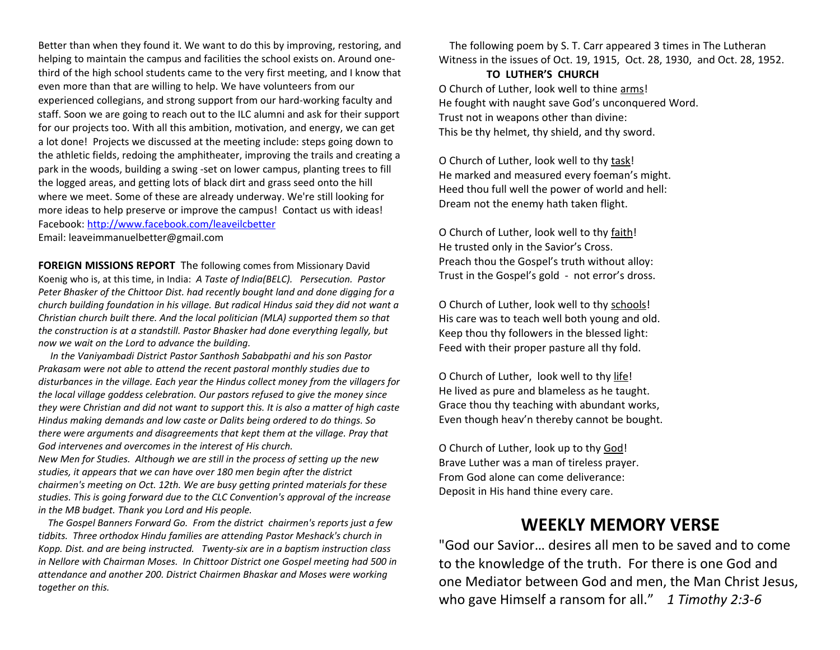Better than when they found it. We want to do this by improving, restoring, and helping to maintain the campus and facilities the school exists on. Around onethird of the high school students came to the very first meeting, and I know that even more than that are willing to help. We have volunteers from our experienced collegians, and strong support from our hard-working faculty and staff. Soon we are going to reach out to the ILC alumni and ask for their support for our projects too. With all this ambition, motivation, and energy, we can get a lot done! Projects we discussed at the meeting include: steps going down to the athletic fields, redoing the amphitheater, improving the trails and creating a park in the woods, building a swing -set on lower campus, planting trees to fill the logged areas, and getting lots of black dirt and grass seed onto the hill where we meet. Some of these are already underway. We're still looking for more ideas to help preserve or improve the campus! Contact us with ideas! Facebook:<http://www.facebook.com/leaveilcbetter> Email: leaveimmanuelbetter@gmail.com

**FOREIGN MISSIONS REPORT** The following comes from Missionary David Koenig who is, at this time, in India: *A Taste of India(BELC). Persecution. Pastor Peter Bhasker of the Chittoor Dist. had recently bought land and done digging for a church building foundation in his village. But radical Hindus said they did not want a Christian church built there. And the local politician (MLA) supported them so that the construction is at a standstill. Pastor Bhasker had done everything legally, but now we wait on the Lord to advance the building.*

 *In the Vaniyambadi District Pastor Santhosh Sababpathi and his son Pastor Prakasam were not able to attend the recent pastoral monthly studies due to disturbances in the village. Each year the Hindus collect money from the villagers for the local village goddess celebration. Our pastors refused to give the money since they were Christian and did not want to support this. It is also a matter of high caste Hindus making demands and low caste or Dalits being ordered to do things. So there were arguments and disagreements that kept them at the village. Pray that God intervenes and overcomes in the interest of His church.*

*New Men for Studies. Although we are still in the process of setting up the new studies, it appears that we can have over 180 men begin after the district chairmen's meeting on Oct. 12th. We are busy getting printed materials for these studies. This is going forward due to the CLC Convention's approval of the increase in the MB budget. Thank you Lord and His people.* 

 *The Gospel Banners Forward Go. From the district chairmen's reports just a few tidbits. Three orthodox Hindu families are attending Pastor Meshack's church in Kopp. Dist. and are being instructed. Twenty-six are in a baptism instruction class in Nellore with Chairman Moses. In Chittoor District one Gospel meeting had 500 in attendance and another 200. District Chairmen Bhaskar and Moses were working together on this.*

 The following poem by S. T. Carr appeared 3 times in The Lutheran Witness in the issues of Oct. 19, 1915, Oct. 28, 1930, and Oct. 28, 1952.

## **TO LUTHER'S CHURCH** O Church of Luther, look well to thine arms! He fought with naught save God's unconquered Word. Trust not in weapons other than divine: This be thy helmet, thy shield, and thy sword.

O Church of Luther, look well to thy task! He marked and measured every foeman's might. Heed thou full well the power of world and hell: Dream not the enemy hath taken flight.

O Church of Luther, look well to thy faith! He trusted only in the Savior's Cross. Preach thou the Gospel's truth without alloy: Trust in the Gospel's gold - not error's dross.

O Church of Luther, look well to thy schools! His care was to teach well both young and old. Keep thou thy followers in the blessed light: Feed with their proper pasture all thy fold.

O Church of Luther, look well to thy life! He lived as pure and blameless as he taught. Grace thou thy teaching with abundant works, Even though heav'n thereby cannot be bought.

O Church of Luther, look up to thy God! Brave Luther was a man of tireless prayer. From God alone can come deliverance: Deposit in His hand thine every care.

# **WEEKLY MEMORY VERSE**

"God our Savior… desires all men to be saved and to come to the knowledge of the truth. For there is one God and one Mediator between God and men, the Man Christ Jesus, who gave Himself a ransom for all." *1 Timothy 2:3-6*